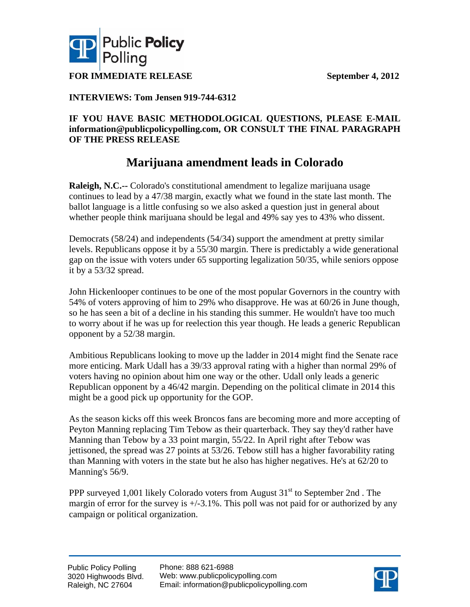



**FOR IMMEDIATE RELEASE September 4, 2012** 

## **INTERVIEWS: Tom Jensen 919-744-6312**

### **IF YOU HAVE BASIC METHODOLOGICAL QUESTIONS, PLEASE E-MAIL information@publicpolicypolling.com, OR CONSULT THE FINAL PARAGRAPH OF THE PRESS RELEASE**

## **Marijuana amendment leads in Colorado**

**Raleigh, N.C.--** Colorado's constitutional amendment to legalize marijuana usage continues to lead by a 47/38 margin, exactly what we found in the state last month. The ballot language is a little confusing so we also asked a question just in general about whether people think marijuana should be legal and 49% say yes to 43% who dissent.

Democrats (58/24) and independents (54/34) support the amendment at pretty similar levels. Republicans oppose it by a 55/30 margin. There is predictably a wide generational gap on the issue with voters under 65 supporting legalization 50/35, while seniors oppose it by a 53/32 spread.

John Hickenlooper continues to be one of the most popular Governors in the country with 54% of voters approving of him to 29% who disapprove. He was at 60/26 in June though, so he has seen a bit of a decline in his standing this summer. He wouldn't have too much to worry about if he was up for reelection this year though. He leads a generic Republican opponent by a 52/38 margin.

Ambitious Republicans looking to move up the ladder in 2014 might find the Senate race more enticing. Mark Udall has a 39/33 approval rating with a higher than normal 29% of voters having no opinion about him one way or the other. Udall only leads a generic Republican opponent by a 46/42 margin. Depending on the political climate in 2014 this might be a good pick up opportunity for the GOP.

As the season kicks off this week Broncos fans are becoming more and more accepting of Peyton Manning replacing Tim Tebow as their quarterback. They say they'd rather have Manning than Tebow by a 33 point margin, 55/22. In April right after Tebow was jettisoned, the spread was 27 points at 53/26. Tebow still has a higher favorability rating than Manning with voters in the state but he also has higher negatives. He's at 62/20 to Manning's 56/9.

PPP surveyed 1,001 likely Colorado voters from August  $31<sup>st</sup>$  to September 2nd . The margin of error for the survey is  $+\frac{1}{3}$ . This poll was not paid for or authorized by any campaign or political organization.

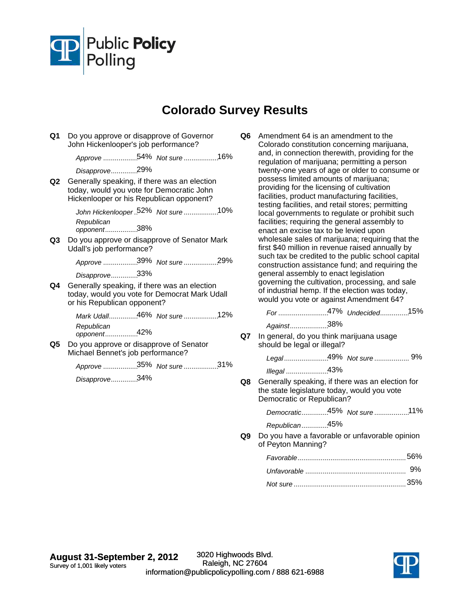

# **Colorado Survey Results**

**Q1** Do you approve or disapprove of Governor John Hickenlooper's job performance?

Approve .................54% Not sure ..................16%

*Disapprove* 29% ..............

**Q2** Generally speaking, if there was an election today, would you vote for Democratic John Hickenlooper or his Republican opponent?

*John Hickenlooper* .52% Not sure ..................10%

38% *Republican opponent*.................

**Q3** Do you approve or disapprove of Senator Mark Udall's job performance?

Approve .................39% Not sure ..................29%

*Disapprove* 33% ..............

**Q4** Generally speaking, if there was an election today, would you vote for Democrat Mark Udall or his Republican opponent?

> Mark Udall...............46% Not sure ...................12% 42% *Republican opponent*.................

**Q5** Do you approve or disapprove of Senator Michael Bennet's job performance?

Approve .................35% Not sure ..................31%

*Disapprove* 34% ..............

**Q6** Amendment 64 is an amendment to the Colorado constitution concerning marijuana, and, in connection therewith, providing for the regulation of marijuana; permitting a person twenty-one years of age or older to consume or possess limited amounts of marijuana; providing for the licensing of cultivation facilities, product manufacturing facilities, testing facilities, and retail stores; permitting local governments to regulate or prohibit such facilities; requiring the general assembly to enact an excise tax to be levied upon wholesale sales of marijuana; requiring that the first \$40 million in revenue raised annually by such tax be credited to the public school capital construction assistance fund; and requiring the general assembly to enact legislation governing the cultivation, processing, and sale of industrial hemp. If the election was today, would you vote or against Amendment 64?

*For* ............................47% Undecided................15%

Against....................38%

**Q7** In general, do you think marijuana usage should be legal or illegal?

*Legal.......................*49% Not sure ................... 9%

43% *Illegal* ......................

**Q8** Generally speaking, if there was an election for the state legislature today, would you vote Democratic or Republican?

*Democratic* 45% .............. *Not sure* 11% ..................

*Republican* 45% ..............

**Q9** Do you have a favorable or unfavorable opinion of Peyton Manning?

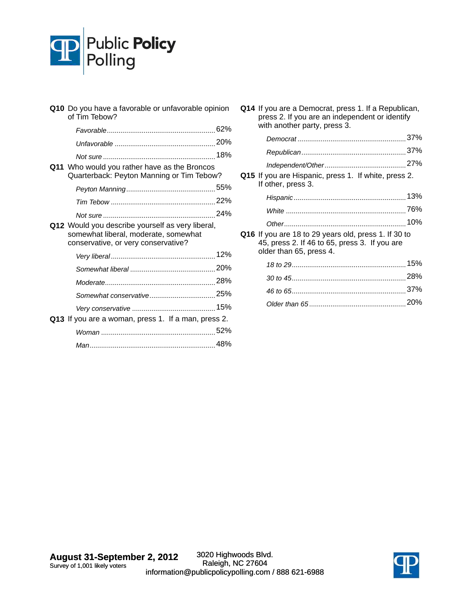

| Q10 Do you have a favorable or unfavorable opinion<br>of Tim Tebow?                                                             |  |
|---------------------------------------------------------------------------------------------------------------------------------|--|
|                                                                                                                                 |  |
|                                                                                                                                 |  |
|                                                                                                                                 |  |
| Q11 Who would you rather have as the Broncos<br>Quarterback: Peyton Manning or Tim Tebow?                                       |  |
|                                                                                                                                 |  |
|                                                                                                                                 |  |
|                                                                                                                                 |  |
| Q12 Would you describe yourself as very liberal,<br>somewhat liberal, moderate, somewhat<br>conservative, or very conservative? |  |
|                                                                                                                                 |  |
|                                                                                                                                 |  |
|                                                                                                                                 |  |
|                                                                                                                                 |  |
|                                                                                                                                 |  |
| Q13 If you are a woman, press 1. If a man, press 2.                                                                             |  |
|                                                                                                                                 |  |
|                                                                                                                                 |  |
|                                                                                                                                 |  |

**Q14** If you are a Democrat, press 1. If a Republican, press 2. If you are an independent or identify with another party, press 3.

| Q15 If you are Hispanic, press 1. If white, press 2.<br>If other, press 3.                                                       |     |
|----------------------------------------------------------------------------------------------------------------------------------|-----|
|                                                                                                                                  | 13% |
|                                                                                                                                  |     |
|                                                                                                                                  | 10% |
| Q16 If you are 18 to 29 years old, press 1. If 30 to<br>45, press 2. If 46 to 65, press 3. If you are<br>older than 65, press 4. |     |

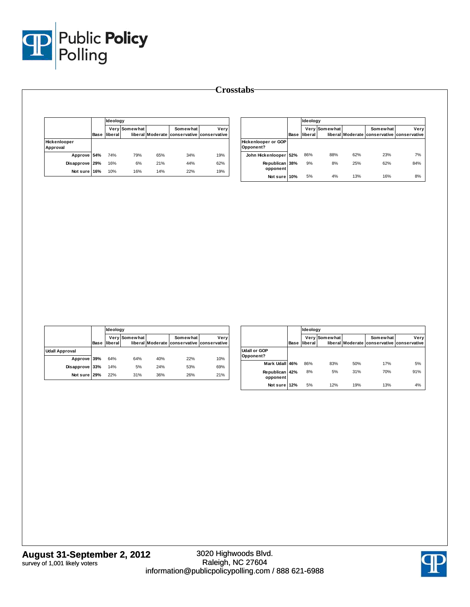

|                          |      | Ideology |               |     |                                                        |      |
|--------------------------|------|----------|---------------|-----|--------------------------------------------------------|------|
|                          | Base | liberal  | Very Somewhat |     | Somewhat<br>liberal Moderate conservative conservative | Verv |
| Hickenlooper<br>Approval |      |          |               |     |                                                        |      |
| Approve 54%              |      | 74%      | 79%           | 65% | 34%                                                    | 19%  |
| Disapprove               | 29%  | 16%      | 6%            | 21% | 44%                                                    | 62%  |
| Not sure                 | 16%  | 10%      | 16%           | 14% | 22%                                                    | 19%  |

|                                         |      | Ideology |               |     |                                                        |      |
|-----------------------------------------|------|----------|---------------|-----|--------------------------------------------------------|------|
|                                         | Base | liberal  | Very Somewhat |     | Somewhat<br>liberal Moderate conservative conservative | Very |
| <b>Hickenlooper or GOP</b><br>Opponent? |      |          |               |     |                                                        |      |
| John Hickenlooper 52%                   |      | 86%      | 88%           | 62% | 23%                                                    | 7%   |
| Republican 38%<br>opponent              |      | 9%       | 8%            | 25% | 62%                                                    | 84%  |
| Not sure 10%                            |      | 5%       | 4%            | 13% | 16%                                                    | 8%   |

|                       |      |         | Ideology      |     |                                                        |      |  |  |
|-----------------------|------|---------|---------------|-----|--------------------------------------------------------|------|--|--|
|                       | Base | liberal | Very Somewhat |     | Somewhat<br>liberal Moderate conservative conservative | Very |  |  |
| <b>Udall Approval</b> |      |         |               |     |                                                        |      |  |  |
| Approve 39%           |      | 64%     | 64%           | 40% | 22%                                                    | 10%  |  |  |
| Disapprove 33%        |      | 14%     | 5%            | 24% | 53%                                                    | 69%  |  |  |
| Not sure 29%          |      | 22%     | 31%           | 36% | 26%                                                    | 21%  |  |  |

|                                  | Base | Ideology |               |     |                                                        |      |
|----------------------------------|------|----------|---------------|-----|--------------------------------------------------------|------|
|                                  |      | liberal  | Very Somewhat |     | Somewhat<br>liberal Moderate conservative conservative | Very |
| <b>Udall or GOP</b><br>Opponent? |      |          |               |     |                                                        |      |
| Mark Udall 46%                   |      | 86%      | 83%           | 50% | 17%                                                    | 5%   |
| Republican 42%<br>opponent       |      | 8%       | 5%            | 31% | 70%                                                    | 91%  |
| Not sure                         | 12%  | 5%       | 12%           | 19% | 13%                                                    | 4%   |

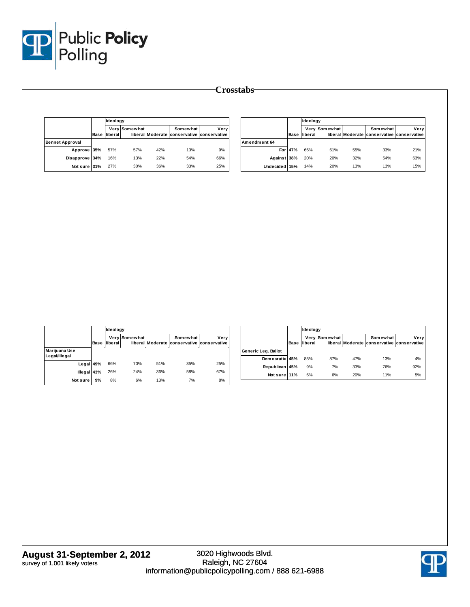

|                        |      |         | Ideology      |     |                                                        |      |  |
|------------------------|------|---------|---------------|-----|--------------------------------------------------------|------|--|
|                        | Base | liberal | Very Somewhat |     | Somewhat<br>liberal Moderate conservative conservative | Very |  |
| <b>Bennet Approval</b> |      |         |               |     |                                                        |      |  |
| Approve 35%            |      | 57%     | 57%           | 42% | 13%                                                    | 9%   |  |
| Disapprove 34%         |      | 16%     | 13%           | 22% | 54%                                                    | 66%  |  |
| Not sure 31%           |      | 27%     | 30%           | 36% | 33%                                                    | 25%  |  |

|               |         | Ideology |               |     |                                                        |      |
|---------------|---------|----------|---------------|-----|--------------------------------------------------------|------|
|               | Base    | liberal  | Very Somewhat |     | Somewhat<br>liberal Moderate conservative conservative | Very |
| Amendment 64  |         |          |               |     |                                                        |      |
|               | For 47% | 66%      | 61%           | 55% | 33%                                                    | 21%  |
| Against 38%   |         | 20%      | 20%           | 32% | 54%                                                    | 63%  |
| Undecided 15% |         | 14%      | 20%           | 13% | 13%                                                    | 15%  |

|                                |      | Ideology |               |                  |                                       |      |
|--------------------------------|------|----------|---------------|------------------|---------------------------------------|------|
|                                | Base | liberal  | Very Somewhat | liberal Moderate | Somewhat<br>conservative conservative | Very |
| Marijuana Use<br>Legal/Illegal |      |          |               |                  |                                       |      |
| Legal 49%                      |      | 66%      | 70%           | 51%              | 35%                                   | 25%  |
| <b>Illegal</b>                 | 43%  | 26%      | 24%           | 36%              | 58%                                   | 67%  |
| Not sure                       | 9%   | 8%       | 6%            | 13%              | 7%                                    | 8%   |

|                     |      | Ideology |               |     |          |                                                    |
|---------------------|------|----------|---------------|-----|----------|----------------------------------------------------|
|                     | Base | liberal  | Very Somewhat |     | Somewhat | Very<br>liberal Moderate conservative conservative |
| Generic Leg. Ballot |      |          |               |     |          |                                                    |
| Democratic 45%      |      | 85%      | 87%           | 47% | 13%      | 4%                                                 |
| Republican 45%      |      | 9%       | 7%            | 33% | 76%      | 92%                                                |
| Not sure 11%        |      | 6%       | 6%            | 20% | 11%      | 5%                                                 |

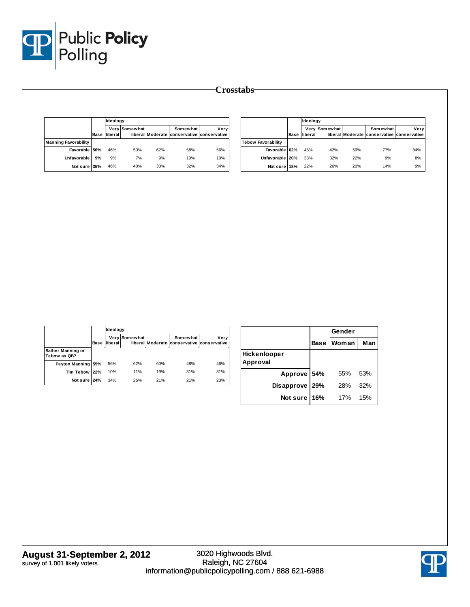

|                             |      |         | Ideology      |     |                                                        |      |  |
|-----------------------------|------|---------|---------------|-----|--------------------------------------------------------|------|--|
|                             | Base | liberal | Very Somewhat |     | Somewhat<br>liberal Moderate conservative conservative | Very |  |
| <b>Manning Favorability</b> |      |         |               |     |                                                        |      |  |
| Favorable 56%               |      | 46%     | 53%           | 62% | 58%                                                    | 56%  |  |
| Unfavorable                 | 9%   | 9%      | 7%            | 9%  | 10%                                                    | 10%  |  |
| Not sure 35%                |      | 46%     | 40%           | 30% | 32%                                                    | 34%  |  |

|                           |      | Ideology |               |     |                                                        |      |  |  |  |
|---------------------------|------|----------|---------------|-----|--------------------------------------------------------|------|--|--|--|
|                           | Base | liberal  | Very Somewhat |     | Somewhat<br>liberal Moderate conservative conservative | Verv |  |  |  |
| <b>Tebow Favorability</b> |      |          |               |     |                                                        |      |  |  |  |
| Favorable                 | 62%  | 45%      | 42%           | 59% | <b>77%</b>                                             | 84%  |  |  |  |
| Unfavorable 20%           |      | 33%      | 32%           | 22% | 9%                                                     | 8%   |  |  |  |
| Not sure                  | 18%  | 22%      | 26%           | 20% | 14%                                                    | 9%   |  |  |  |

|                                   |      |         | Ideology      |     |                                                        |      |  |
|-----------------------------------|------|---------|---------------|-----|--------------------------------------------------------|------|--|
|                                   | Base | liberal | Very Somewhat |     | Somewhat<br>liberal Moderate conservative conservative | Verv |  |
| Rather Manning or<br>Tebow as QB? |      |         |               |     |                                                        |      |  |
| Peyton Manning 55%                |      | 56%     | 62%           | 60% | 48%                                                    | 46%  |  |
| Tim Tebow 22%                     |      | 10%     | 11%           | 19% | 31%                                                    | 31%  |  |
| Not sure 24%                      |      | 34%     | 26%           | 21% | 21%                                                    | 23%  |  |

|                          |             | Gender |     |  |
|--------------------------|-------------|--------|-----|--|
|                          | <b>Base</b> | Woman  | Man |  |
| Hickenlooper<br>Approval |             |        |     |  |
| Approve 54%              |             | 55%    | 53% |  |
| Disapprove               | 29%         | 28%    | 32% |  |
| Not sure                 | 16%         | 17%    | 15% |  |

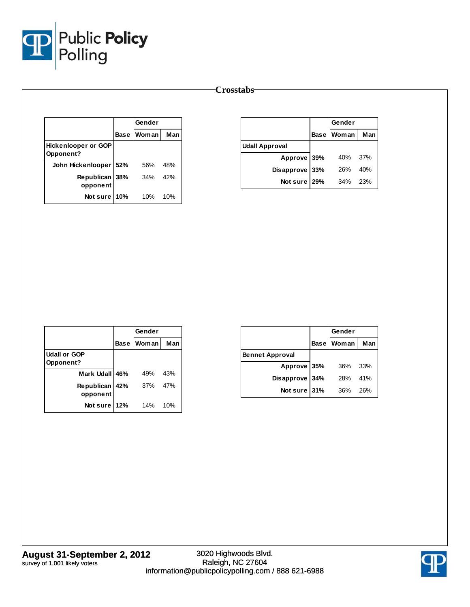

|                                         |      | Gender |     |  |
|-----------------------------------------|------|--------|-----|--|
|                                         | Base | Woman  | Man |  |
| <b>Hickenlooper or GOP</b><br>Opponent? |      |        |     |  |
| John Hickenlooper   52%                 |      | 56%    | 48% |  |
| Republican 38%<br>opponent              |      | 34%    | 42% |  |
| Not sure                                | 10%  | 10%    | 10% |  |

|                       |             | Gender |     |
|-----------------------|-------------|--------|-----|
|                       | <b>Base</b> | Woman  | Man |
| <b>Udall Approval</b> |             |        |     |
| Approve 39%           |             | 40%    | 37% |
| Disapprove 33%        |             | 26%    | 40% |
| Not sure 29%          |             | 34%    | 23% |

|                                         | Gender            |     |
|-----------------------------------------|-------------------|-----|
|                                         | <b>Base Woman</b> | Man |
| <b>Udall or GOP</b><br><b>Opponent?</b> |                   |     |
| Mark Udall 46%                          | 49%               | 43% |
| Republican 42%<br>opponent              | 37%               | 47% |
| Not sure 12%                            | 14%               | 10% |

|                        |      | Gender     |     |
|------------------------|------|------------|-----|
|                        |      | Base Woman | Man |
| <b>Bennet Approval</b> |      |            |     |
| Approve 35%            |      | 36%        | 33% |
| Disapprove             | 134% | 28%        | 41% |
| Not sure               | 131% | 36%        | 26% |

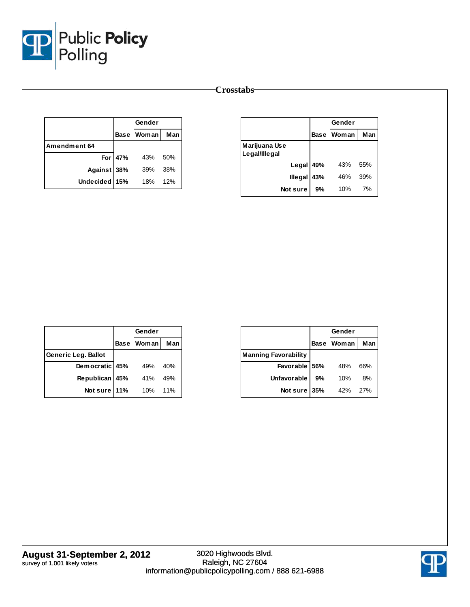

|               |           | Gender     |     |
|---------------|-----------|------------|-----|
|               |           | Base Woman | Man |
| Amendment 64  |           |            |     |
|               | For $47%$ | 43%        | 50% |
| Against 38%   |           | 39%        | 38% |
| Undecided 15% |           | 18%        | 12% |

|                                | Gender      |       |     |
|--------------------------------|-------------|-------|-----|
|                                | <b>Base</b> | Woman | Man |
| Marijuana Use<br>Legal/Illegal |             |       |     |
| Legal 49%                      |             | 43%   | 55% |
| <b>Illegal</b>                 | 43%         | 46%   | 39% |
| Not sure                       | 9%          | 10%   | 7%  |

|                     | Gender     |     |
|---------------------|------------|-----|
|                     | Base Woman | Man |
| Generic Leg. Ballot |            |     |
| Democratic 45%      | 49%        | 40% |
| Republican 45%      | 41%        | 49% |
| Not sure 11%        | 10%        | 11% |

|                             |             | Gender       |     |
|-----------------------------|-------------|--------------|-----|
|                             | <b>Base</b> | <b>Woman</b> | Man |
| <b>Manning Favorability</b> |             |              |     |
| Favorable 56%               |             | 48%          | 66% |
| Unfavorable                 | 9%          | 10%          | 8%  |
| Not sure                    | 35%         | 42%          | 27% |

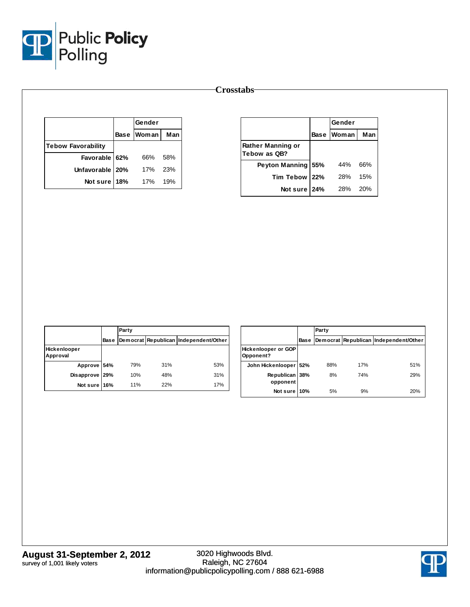

|                           | Gender     |     |
|---------------------------|------------|-----|
|                           | Base Woman | Man |
| <b>Tebow Favorability</b> |            |     |
| Favorable 62%             | 66%        | 58% |
| Unfavorable   20%         | 17%        | 23% |
| Not sure 18%              | 17%        | 19% |

|                                   |     | Gender       |     |  |
|-----------------------------------|-----|--------------|-----|--|
|                                   |     | Base   Woman | Man |  |
| Rather Manning or<br>Tebow as QB? |     |              |     |  |
| <b>Peyton Manning</b>             | 55% | 44%          | 66% |  |
| <b>Tim Tebow</b>                  | 22% | <b>28%</b>   | 15% |  |
| Not sure 24%                      |     | 28%          | 20% |  |

|                          |             | Party      |     |                                       |  |  |
|--------------------------|-------------|------------|-----|---------------------------------------|--|--|
|                          | <b>Base</b> |            |     | Democrat Republican Independent/Other |  |  |
| Hickenlooper<br>Approval |             |            |     |                                       |  |  |
| Approve 54%              |             | 79%        | 31% | 53%                                   |  |  |
| Disapprove 29%           |             | 10%        | 48% | 31%                                   |  |  |
| Not sure 16%             |             | <b>11%</b> | 22% | 17%                                   |  |  |

|                                  |      | Party |     |                                       |  |  |
|----------------------------------|------|-------|-----|---------------------------------------|--|--|
|                                  | Base |       |     | Democrat Republican Independent/Other |  |  |
| Hickenlooper or GOP<br>Opponent? |      |       |     |                                       |  |  |
| John Hickenlooper                | 52%  | 88%   | 17% | 51%                                   |  |  |
| Republican<br>opponent           | 38%  | 8%    | 74% | 29%                                   |  |  |
| Not sure 10%                     |      | 5%    | 9%  | 20%                                   |  |  |

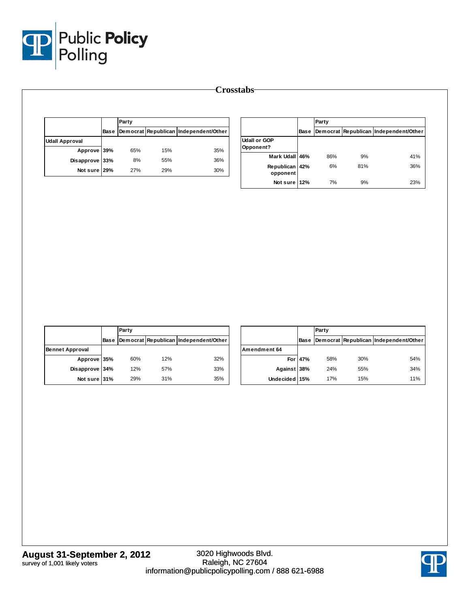

|                       |      | Party |     |                                       |  |
|-----------------------|------|-------|-----|---------------------------------------|--|
|                       | Base |       |     | Democrat Republican Independent/Other |  |
| <b>Udall Approval</b> |      |       |     |                                       |  |
| Approve 39%           |      | 65%   | 15% | 35%                                   |  |
| Disapprove 33%        |      | 8%    | 55% | 36%                                   |  |
| Not sure 29%          |      | 27%   | 29% | 30%                                   |  |

|                                  |             | Party |     |                                       |
|----------------------------------|-------------|-------|-----|---------------------------------------|
|                                  | <b>Base</b> |       |     | Democrat Republican Independent/Other |
| <b>Udall or GOP</b><br>Opponent? |             |       |     |                                       |
| Mark Udall 46%                   |             | 86%   | 9%  | 41%                                   |
| Republican<br>opponent           | 42%         | 6%    | 81% | 36%                                   |
| Not sure 12%                     |             | 7%    | 9%  | 23%                                   |

|                        |      | Party |     |                                       |  |  |
|------------------------|------|-------|-----|---------------------------------------|--|--|
|                        | Base |       |     | Democrat Republican Independent/Other |  |  |
| <b>Bennet Approval</b> |      |       |     |                                       |  |  |
| Approve 35%            |      | 60%   | 12% | 32%                                   |  |  |
| Disapprove 34%         |      | 12%   | 57% | 33%                                   |  |  |
| Not sure 31%           |      | 29%   | 31% | 35%                                   |  |  |

|               |         | Party |     |                                       |  |
|---------------|---------|-------|-----|---------------------------------------|--|
|               | Base    |       |     | Democrat Republican Independent/Other |  |
| Amendment 64  |         |       |     |                                       |  |
|               | For 47% | 58%   | 30% | 54%                                   |  |
| Against 38%   |         | 24%   | 55% | 34%                                   |  |
| Undecided 15% |         | 17%   | 15% | 11%                                   |  |

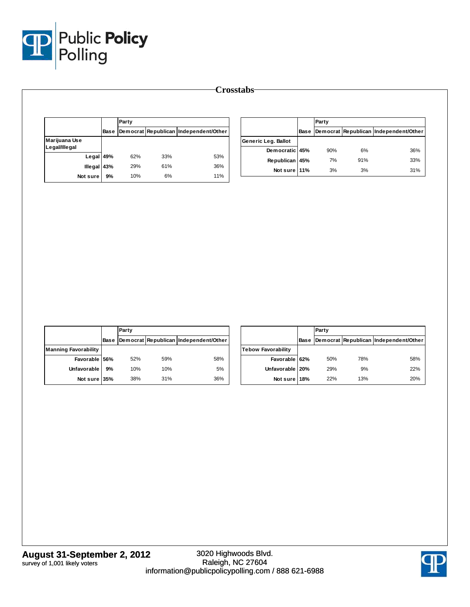

|               |    | Party |     |                                            |                     |             | Party |     |                                       |
|---------------|----|-------|-----|--------------------------------------------|---------------------|-------------|-------|-----|---------------------------------------|
|               |    |       |     | Base Democrat Republican Independent/Other |                     | <b>Base</b> |       |     | Democrat Republican Independent/Other |
| Marijuana Use |    |       |     |                                            | Generic Leg. Ballot |             |       |     |                                       |
| Legal/Illegal |    |       |     |                                            | Democratic 45%      |             | 90%   | 6%  | 36%                                   |
| Legal 49%     |    | 62%   | 33% | 53%                                        | Republican 45%      |             | 7%    | 91% | 33%                                   |
| Illegal 43%   |    | 29%   | 61% | 36%                                        | Not sure 11%        |             | 3%    | 3%  | 31%                                   |
| Not sure      | 9% | 10%   | 6%  | 11%                                        |                     |             |       |     |                                       |

|                             |      | Party |     |                                       |  |
|-----------------------------|------|-------|-----|---------------------------------------|--|
|                             | Base |       |     | Democrat Republican Independent/Other |  |
| <b>Manning Favorability</b> |      |       |     |                                       |  |
| Favorable 56%               |      | 52%   | 59% | 58%                                   |  |
| <b>Unfavorable</b>          | 9%   | 10%   | 10% | 5%                                    |  |
| Not sure 35%                |      | 38%   | 31% | 36%                                   |  |

|                    |             | Party |     |                                       |  |  |
|--------------------|-------------|-------|-----|---------------------------------------|--|--|
|                    | <b>Base</b> |       |     | Democrat Republican Independent/Other |  |  |
| Tebow Favorability |             |       |     |                                       |  |  |
| Favorable 62%      |             | 50%   | 78% | 58%                                   |  |  |
| Unfavorable   20%  |             | 29%   | 9%  | 22%                                   |  |  |
| Not sure 18%       |             | 22%   | 13% | 20%                                   |  |  |

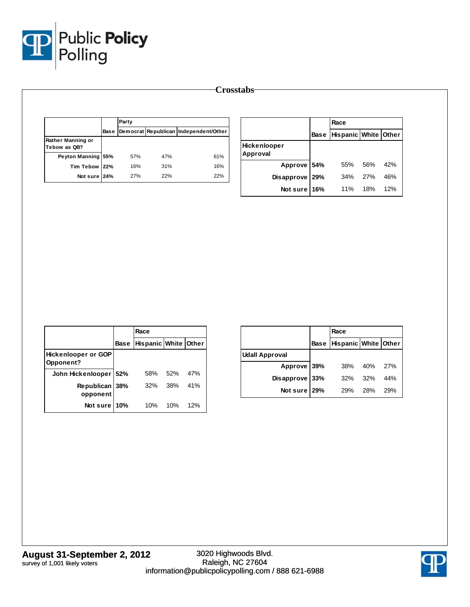

|                                   |             | Party |     |                                       |  |  |
|-----------------------------------|-------------|-------|-----|---------------------------------------|--|--|
|                                   | <b>Base</b> |       |     | Democrat Republican Independent/Other |  |  |
| Rather Manning or<br>Tebow as QB? |             |       |     |                                       |  |  |
| Peyton Manning 55%                |             | 57%   | 47% | 61%                                   |  |  |
| Tim Tebow 22%                     |             | 16%   | 31% | 16%                                   |  |  |
| Not sure 24%                      |             | 27%   | 22% | 22%                                   |  |  |

|                          |      | Race                 |     |     |
|--------------------------|------|----------------------|-----|-----|
|                          | Base | Hispanic White Other |     |     |
| Hickenlooper<br>Approval |      |                      |     |     |
| Approve 54%              |      | 55%                  | 56% | 42% |
| Disapprove 29%           |      | 34%                  | 27% | 46% |
| Not sure 16%             |      | 11%                  | 18% | 12% |

|                                         |             | Race                 |     |     |
|-----------------------------------------|-------------|----------------------|-----|-----|
|                                         | <b>Base</b> | Hispanic White Other |     |     |
| <b>Hickenlooper or GOP</b><br>Opponent? |             |                      |     |     |
| John Hickenlooper                       | 52%         | 58%                  | 52% | 47% |
| Republican  <br>opponent                | 38%         | 32%                  | 38% | 41% |
| Not sure                                | 10%         | 10%                  | 10% | 12% |

|                       | Race                            |             |     |
|-----------------------|---------------------------------|-------------|-----|
|                       | Base   Hispanic   White   Other |             |     |
| <b>Udall Approval</b> |                                 |             |     |
| Approve 39%           |                                 | 38% 40% 27% |     |
| Disapprove 33%        | 32%                             | 32%         | 44% |
| Not sure 29%          | 29%                             | 28%         | 29% |

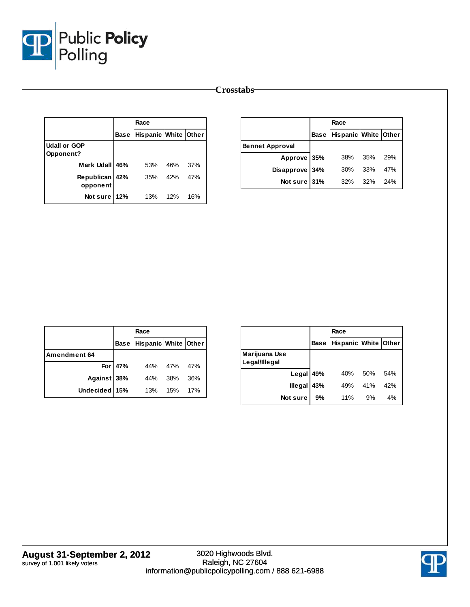

|                                         |      | Race                 |     |     |
|-----------------------------------------|------|----------------------|-----|-----|
|                                         | Base | Hispanic White Other |     |     |
| <b>Udall or GOP</b><br><b>Opponent?</b> |      |                      |     |     |
| Mark Udall 46%                          |      | 53%                  | 46% | 37% |
| Republican 42%<br>opponent              |      | 35% 42%              |     | 47% |
| Not sure 12%                            |      | 13% 12%              |     | 16% |

|                        |      | Race                 |     |     |
|------------------------|------|----------------------|-----|-----|
|                        | Base | Hispanic White Other |     |     |
| <b>Bennet Approval</b> |      |                      |     |     |
| Approve 35%            |      | 38% 35%              |     | 29% |
| Disapprove 34%         |      | 30%                  | 33% | 47% |
| Not sure 31%           |      | 32%                  | 32% | 24% |

|               |         | Race                      |             |     |
|---------------|---------|---------------------------|-------------|-----|
|               |         | Base Hispanic White Other |             |     |
| Amendment 64  |         |                           |             |     |
|               | For 47% |                           | 44% 47% 47% |     |
| Against 38%   |         | 44% 38%                   |             | 36% |
| Undecided 15% |         | 13% 15%                   |             | 17% |

|                                |             | Race                 |     |     |
|--------------------------------|-------------|----------------------|-----|-----|
|                                | <b>Base</b> | Hispanic White Other |     |     |
| Marijuana Use<br>Legal/Illegal |             |                      |     |     |
| Legal 49%                      |             | 40%                  | 50% | 54% |
| <b>Illegal</b>                 | 43%         | 49%                  | 41% | 42% |
| Not sure                       | 9%          | 11%                  | 9%  | 4%  |

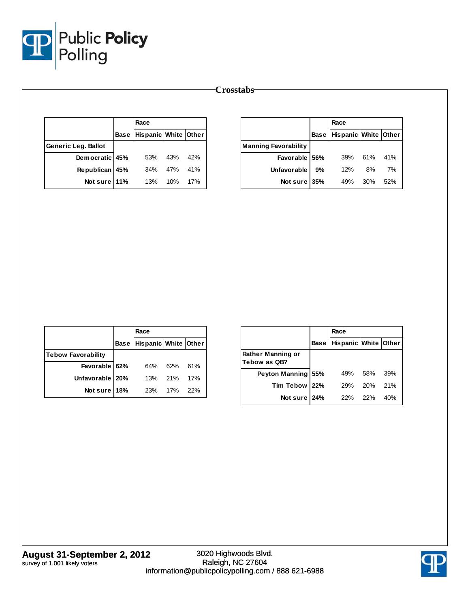

|                     | Race                      |     |     |
|---------------------|---------------------------|-----|-----|
|                     | Base Hispanic White Other |     |     |
| Generic Leg. Ballot |                           |     |     |
| Democratic 45%      | 53%                       | 43% | 42% |
| Republican 45%      | 34% 47%                   |     | 41% |
| Not sure 11%        | 13%                       | 10% | 17% |

|                             |             | Race                 |             |     |
|-----------------------------|-------------|----------------------|-------------|-----|
|                             | <b>Base</b> | Hispanic White Other |             |     |
| <b>Manning Favorability</b> |             |                      |             |     |
| Favorable 56%               |             |                      | 39% 61% 41% |     |
| <b>Unfavorable</b>          | 9%          | 12%                  | 8%          | 7%  |
| Not sure                    | 35%         | 49%                  | 30%         | 52% |

|                           | Race                      |     |       |
|---------------------------|---------------------------|-----|-------|
|                           | Base Hispanic White Other |     |       |
| <b>Tebow Favorability</b> |                           |     |       |
| Favorable 62%             | 64%                       | 62% | 61%   |
| Unfavorable   20%         | 13% 21%                   |     | 17%   |
| Not sure 18%              | 23% 17%                   |     | - 22% |

|                                   |      | Race                 |     |     |
|-----------------------------------|------|----------------------|-----|-----|
|                                   | Base | Hispanic White Other |     |     |
| Rather Manning or<br>Tebow as QB? |      |                      |     |     |
| Peyton Manning 55%                |      | 49%                  | 58% | 39% |
| Tim Tebow 22%                     |      | <b>29%</b>           | 20% | 21% |
| Not sure 24%                      |      | 22%                  | 22% | 40% |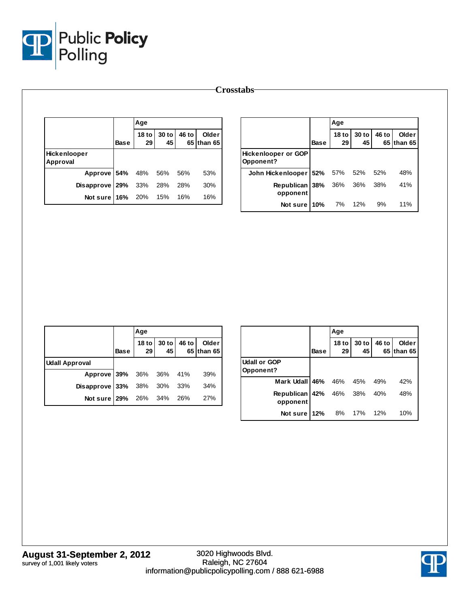

|                          |             | Age                    |               |       |                     |                                         |             | Age                    |             |       |                     |
|--------------------------|-------------|------------------------|---------------|-------|---------------------|-----------------------------------------|-------------|------------------------|-------------|-------|---------------------|
|                          | <b>Base</b> | 18 <sub>to</sub><br>29 | $30$ to<br>45 | 46 to | Older<br>65 than 65 |                                         | <b>Base</b> | 18 <sub>to</sub><br>29 | 30 to<br>45 | 46 to | Older<br>65 than 65 |
| Hickenlooper<br>Approval |             |                        |               |       |                     | <b>Hickenlooper or GOP</b><br>Opponent? |             |                        |             |       |                     |
| Approve 54%              |             | 48%                    | 56%           | 56%   | 53%                 | John Hickenlooper   52%                 |             | 57%                    | 52%         | 52%   | 48%                 |
| Disapprove 29%           |             | 33%                    | 28%           | 28%   | 30%                 | Republican 38%                          |             | 36%                    | 36%         | 38%   | 41%                 |
| Not sure 16%             |             | 20%                    | 15%           | 16%   | 16%                 | opponent                                |             |                        |             |       |                     |

|                            |             | Age |                            |                     |
|----------------------------|-------------|-----|----------------------------|---------------------|
|                            | <b>Base</b> |     | 18 to 30 to 46 to 29 45 65 | Older<br>65 than 65 |
| <b>Udall Approval</b>      |             |     |                            |                     |
| Approve 39% 36% 36% 41%    |             |     |                            | 39%                 |
| Disapprove 33% 38% 30% 33% |             |     |                            | 34%                 |
| Not sure 29% 26% 34% 26%   |             |     |                            | 27%                 |

|                                  |             | Age                    |               |             |                  |
|----------------------------------|-------------|------------------------|---------------|-------------|------------------|
|                                  | <b>Base</b> | 18 <sub>to</sub><br>29 | $30$ to<br>45 | 46 to<br>65 | Older<br>than 65 |
| <b>Udall or GOP</b><br>Opponent? |             |                        |               |             |                  |
| Mark Udall 46%                   |             | 46%                    | 45%           | 49%         | 42%              |
| <b>Republican</b><br>opponent    | 42%         | 46% 38%                |               | 40%         | 48%              |
| Not sure 12%                     |             | 8%                     | 17%           | 12%         | 10%              |

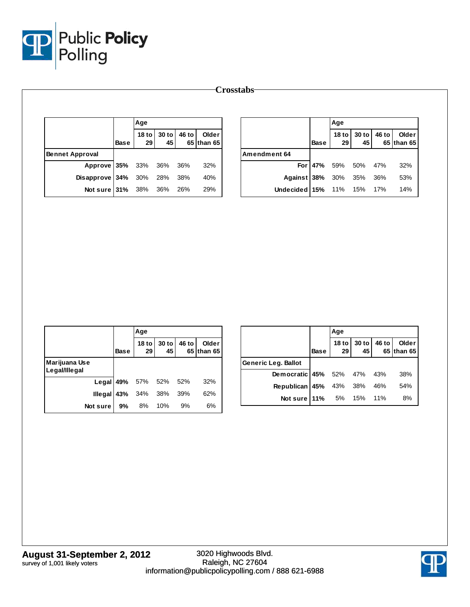

|                        |             | Age                    |             |       |                     |               |             | Age           |             |       |                     |
|------------------------|-------------|------------------------|-------------|-------|---------------------|---------------|-------------|---------------|-------------|-------|---------------------|
|                        | <b>Base</b> | 18 <sub>to</sub><br>29 | 30 to<br>45 | 46 to | Older<br>65 than 65 |               | <b>Base</b> | $18$ to<br>29 | 30 to<br>45 | 46 to | Older<br>65 than 65 |
| <b>Bennet Approval</b> |             |                        |             |       |                     | Amendment 64  |             |               |             |       |                     |
| Approve 35%            |             | 33%                    | 36%         | 36%   | 32%                 | For 47%       |             | 59%           | 50%         | 47%   | 32%                 |
| Disapprove 34%         |             | 30%                    | 28%         | 38%   | 40%                 | Against 38%   |             | 30%           | 35%         | 36%   | 53%                 |
| Not sure 31% 38%       |             |                        | 36%         | 26%   | 29%                 | Undecided 15% |             | 11%           | 15%         | 17%   | 14%                 |

|                                |             | Age                           |               |       |                     |
|--------------------------------|-------------|-------------------------------|---------------|-------|---------------------|
|                                | <b>Base</b> | 18 <sub>to</sub><br>29        | $30$ to<br>45 | 46 to | Older<br>65 than 65 |
| Marijuana Use<br>Legal/Illegal |             |                               |               |       |                     |
|                                |             | Legal 49% 57% 52% 52%         |               |       | 32%                 |
|                                |             | <b>Illegal 43%</b> $34\%$ 38% |               | 39%   | 62%                 |
| Not sure                       | 9%          | 8%                            | 10%           | 9%    | 6%                  |

|                                   |             | Age               |              |       |                     |
|-----------------------------------|-------------|-------------------|--------------|-------|---------------------|
|                                   | <b>Base</b> | 18 to $ $<br>29 l | $30$ to $45$ | 46 to | Older<br>65 than 65 |
| Generic Leg. Ballot               |             |                   |              |       |                     |
| Democratic 45% 52% 47% 43%        |             |                   |              |       | 38%                 |
| <b>Republican 45%</b> 43% 38% 46% |             |                   |              |       | 54%                 |
| <b>Not sure 11%</b> 5% 15% 11%    |             |                   |              |       | 8%                  |